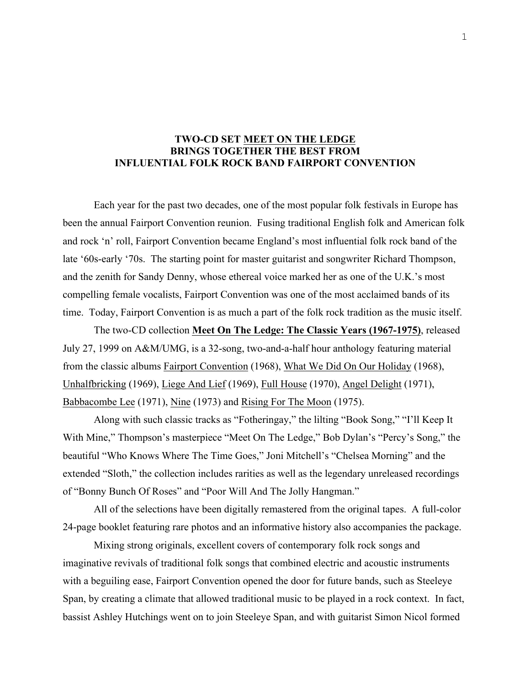## **TWO-CD SET MEET ON THE LEDGE BRINGS TOGETHER THE BEST FROM INFLUENTIAL FOLK ROCK BAND FAIRPORT CONVENTION**

Each year for the past two decades, one of the most popular folk festivals in Europe has been the annual Fairport Convention reunion. Fusing traditional English folk and American folk and rock 'n' roll, Fairport Convention became England's most influential folk rock band of the late '60s-early '70s. The starting point for master guitarist and songwriter Richard Thompson, and the zenith for Sandy Denny, whose ethereal voice marked her as one of the U.K.'s most compelling female vocalists, Fairport Convention was one of the most acclaimed bands of its time. Today, Fairport Convention is as much a part of the folk rock tradition as the music itself.

The two-CD collection **Meet On The Ledge: The Classic Years (1967-1975)**, released July 27, 1999 on A&M/UMG, is a 32-song, two-and-a-half hour anthology featuring material from the classic albums Fairport Convention (1968), What We Did On Our Holiday (1968), Unhalfbricking (1969), Liege And Lief (1969), Full House (1970), Angel Delight (1971), Babbacombe Lee (1971), Nine (1973) and Rising For The Moon (1975).

Along with such classic tracks as "Fotheringay," the lilting "Book Song," "I'll Keep It With Mine," Thompson's masterpiece "Meet On The Ledge," Bob Dylan's "Percy's Song," the beautiful "Who Knows Where The Time Goes," Joni Mitchell's "Chelsea Morning" and the extended "Sloth," the collection includes rarities as well as the legendary unreleased recordings of "Bonny Bunch Of Roses" and "Poor Will And The Jolly Hangman."

All of the selections have been digitally remastered from the original tapes. A full-color 24-page booklet featuring rare photos and an informative history also accompanies the package.

Mixing strong originals, excellent covers of contemporary folk rock songs and imaginative revivals of traditional folk songs that combined electric and acoustic instruments with a beguiling ease, Fairport Convention opened the door for future bands, such as Steeleye Span, by creating a climate that allowed traditional music to be played in a rock context. In fact, bassist Ashley Hutchings went on to join Steeleye Span, and with guitarist Simon Nicol formed